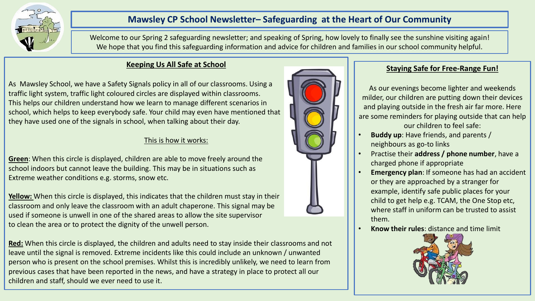

# **Mawsley CP School Newsletter– Safeguarding at the Heart of Our Community**

Welcome to our Spring 2 safeguarding newsletter; and speaking of Spring, how lovely to finally see the sunshine visiting again! We hope that you find this safeguarding information and advice for children and families in our school community helpful.

## **Keeping Us All Safe at School**

As Mawsley School, we have a Safety Signals policy in all of our classrooms. Using a traffic light system, traffic light coloured circles are displayed within classrooms. This helps our children understand how we learn to manage different scenarios in school, which helps to keep everybody safe. Your child may even have mentioned that they have used one of the signals in school, when talking about their day.

### This is how it works:

**Green**: When this circle is displayed, children are able to move freely around the school indoors but cannot leave the building. This may be in situations such as Extreme weather conditions e.g. storms, snow etc.

**Yellow:** When this circle is displayed, this indicates that the children must stay in their classroom and only leave the classroom with an adult chaperone. This signal may be used if someone is unwell in one of the shared areas to allow the site supervisor to clean the area or to protect the dignity of the unwell person.

**Red:** When this circle is displayed, the children and adults need to stay inside their classrooms and not leave until the signal is removed. Extreme incidents like this could include an unknown / unwanted person who is present on the school premises. Whilst this is incredibly unlikely, we need to learn from previous cases that have been reported in the news, and have a strategy in place to protect all our children and staff, should we ever need to use it.



# **Staying Safe for Free-Range Fun!**

As our evenings become lighter and weekends milder, our children are putting down their devices and playing outside in the fresh air far more. Here are some reminders for playing outside that can help

our children to feel safe:

- **Buddy up**: Have friends, and parents / neighbours as go-to links
- Practise their **address / phone number**, have a charged phone if appropriate
- **Emergency plan**: If someone has had an accident or they are approached by a stranger for example, identify safe public places for your child to get help e.g. TCAM, the One Stop etc, where staff in uniform can be trusted to assist them.
- **Know their rules**: distance and time limit